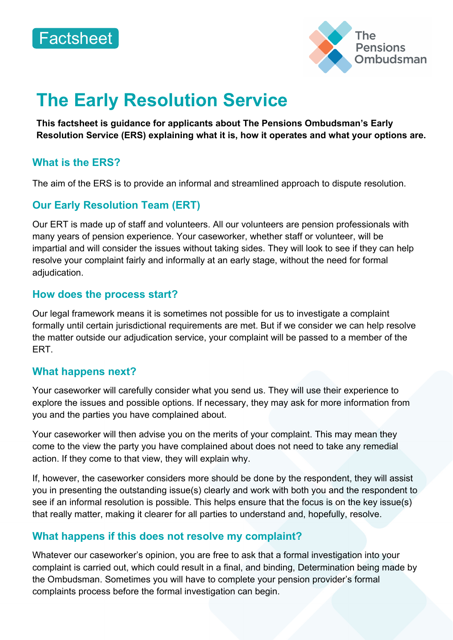



# **The Early Resolution Service**

**This factsheet is guidance for applicants about The Pensions Ombudsman's Early Resolution Service (ERS) explaining what it is, how it operates and what your options are.** 

## **What is the ERS?**

The aim of the ERS is to provide an informal and streamlined approach to dispute resolution.

# **Our Early Resolution Team (ERT)**

Our ERT is made up of staff and volunteers. All our volunteers are pension professionals with many years of pension experience. Your caseworker, whether staff or volunteer, will be impartial and will consider the issues without taking sides. They will look to see if they can help resolve your complaint fairly and informally at an early stage, without the need for formal adjudication.

## **How does the process start?**

Our legal framework means it is sometimes not possible for us to investigate a complaint formally until certain jurisdictional requirements are met. But if we consider we can help resolve the matter outside our adjudication service, your complaint will be passed to a member of the ERT.

#### **What happens next?**

Your caseworker will carefully consider what you send us. They will use their experience to explore the issues and possible options. If necessary, they may ask for more information from you and the parties you have complained about.

Your caseworker will then advise you on the merits of your complaint. This may mean they come to the view the party you have complained about does not need to take any remedial action. If they come to that view, they will explain why.

If, however, the caseworker considers more should be done by the respondent, they will assist you in presenting the outstanding issue(s) clearly and work with both you and the respondent to see if an informal resolution is possible. This helps ensure that the focus is on the key issue(s) that really matter, making it clearer for all parties to understand and, hopefully, resolve.

## **What happens if this does not resolve my complaint?**

Whatever our caseworker's opinion, you are free to ask that a formal investigation into your complaint is carried out, which could result in a final, and binding, Determination being made by the Ombudsman. Sometimes you will have to complete your pension provider's formal complaints process before the formal investigation can begin.